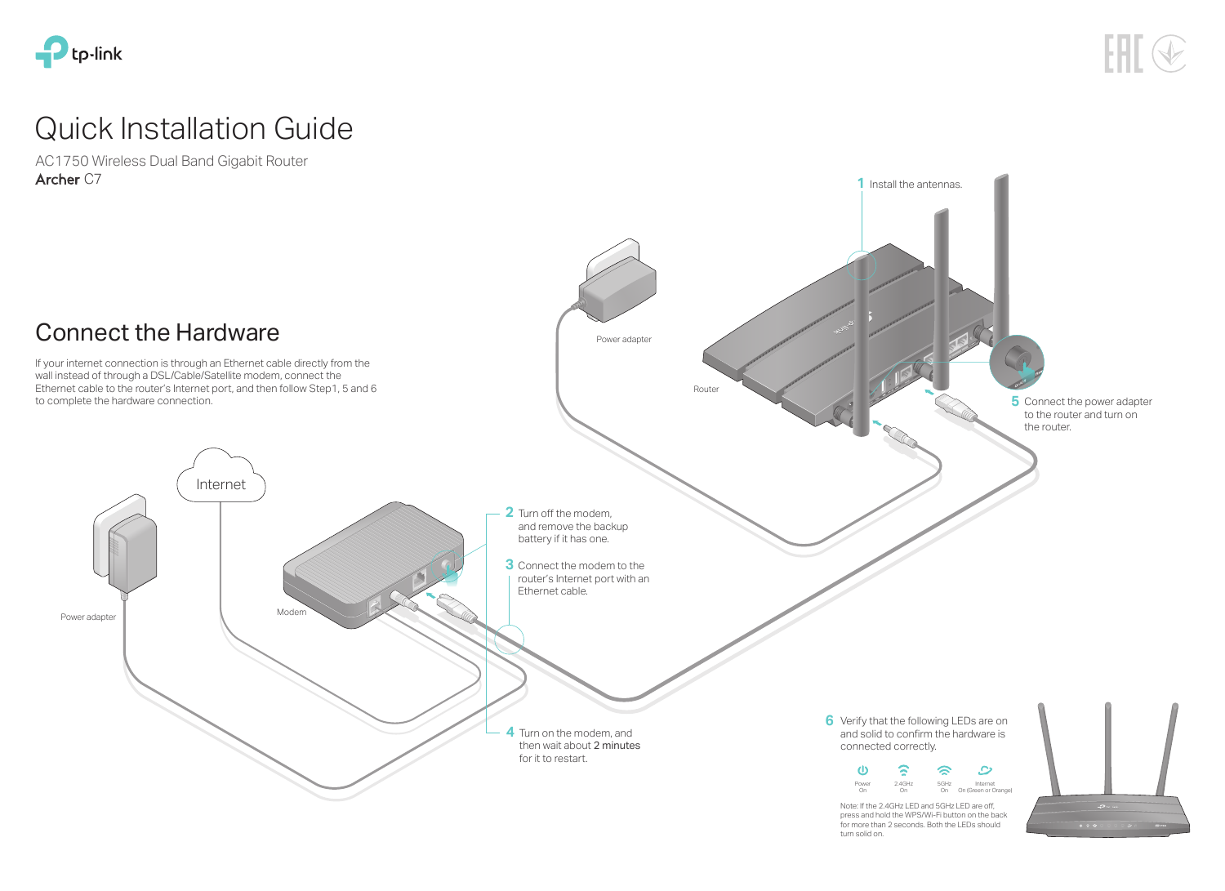AC1750 Wireless Dual Band Gigabit Router Archer C7







# Quick Installation Guide